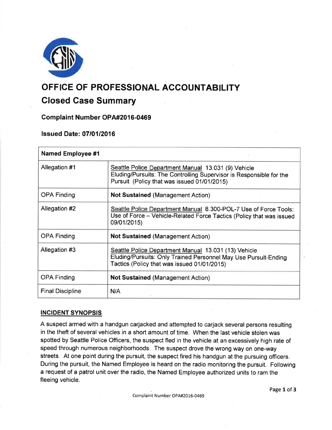

# OFFIGE OF PROFESSIONAL ACCOUNTABILITY

# Closed Gase Summary

# Complaint Number OPA#2016-0469

# **lssued Date: 07/01/2016**

| <b>Named Employee #1</b> |                                                                                                                                                                           |
|--------------------------|---------------------------------------------------------------------------------------------------------------------------------------------------------------------------|
| Allegation #1            | Seattle Police Department Manual 13.031 (9) Vehicle<br>Eluding/Pursuits: The Controlling Supervisor is Responsible for the<br>Pursuit (Policy that was issued 01/01/2015) |
| <b>OPA Finding</b>       | <b>Not Sustained (Management Action)</b>                                                                                                                                  |
| Allegation #2            | Seattle Police Department Manual 8.300-POL-7 Use of Force Tools:<br>Use of Force - Vehicle-Related Force Tactics (Policy that was issued<br>09/01/2015)                   |
| <b>OPA Finding</b>       | <b>Not Sustained (Management Action)</b>                                                                                                                                  |
| Allegation #3            | Seattle Police Department Manual 13.031 (13) Vehicle<br>Eluding/Pursuits: Only Trained Personnel May Use Pursuit-Ending<br>Tactics (Policy that was issued 01/01/2015)    |
| <b>OPA Finding</b>       | <b>Not Sustained (Management Action)</b>                                                                                                                                  |
| <b>Final Discipline</b>  | N/A                                                                                                                                                                       |

# INCIDENT SYNOPSIS

A suspect armed with a handgun carjacked and attempted to carjack several persons resulting in the theft of several vehicles in a short amount of time. When the last vehicle stolen was spotted by Seattle Police Officers, the suspect fled in the vehicle at an excessively high rate of speed through numerous neighborhoods. The suspect drove the wrong way on one-way streets. At one point during the pursuit, the suspect fired his handgun at the pursuing officers. During the pursuit, the Named Employee is heard on the radio monitoring the pursuit. Following a request of a patrol unit over the radio, the Named Employee authorized units to ram the fleeing vehicle.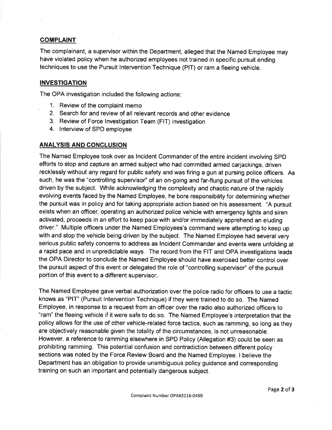## **COMPLAINT**

The complainant, a supervisor within the Department, alleged that the Named Employee may have violated policy when he authorized employees not trained in specific pursuit ending techniques to use the Pursuit lntervention Technique (PlT) or ram a fleeing vehicle.

## INVESTIGATION

The OPA investigation included the following actions

- 1. Review of the complaint memo
- 2. Search for and review of all relevant records and other evidence
- 3. Review of Force lnvestigation Team (FlT) investigation
- 4. lnterview of SPD employee

#### **ANALYSIS AND CONCLUSION**

The Named Employee took over as lncident Commander of the entire incident involving SPD efforts to stop and capture an armed subject who'had committed armed carjackings, driven recklessly without any regard for public safety and was firing a gun at pursing police officers. As such, he was the "controlling supervisor" of an on-going and far-flung pursuit of the vehicles driven by the subject. While acknowledging the complexity and chaotic nature of the rapidly evolving events faced by the Named Employee, he bore responsibility for determining whether the pursuit was in policy and for taking appropriate action based on his assessment. "A pursuit exists when an officer, operating an authorized police vehicle with emergency lights and siren activated, proceeds in an effort to keep pace with and/or immediately apprehend an eluding driver." Multiple officers under the Named Employees's command were attempting to keep up with and stop the vehicle being driven by the subject. The Named Employee had several very serious public safety concerns to address as lncident Commander and events were unfolding at a rapid pace and in unpredictable ways. The record from the FIT and OPA investigations leads the OPA Director to conclude the Named Employee should have exercised better control over the pursuit aspect of this event or delegated the role of "controlling supervisor" of the pursuit portion of this event to a different supervisor.

The Named Employee gave verbal authorization over the police radio for officers to use a tactic knows as "PlT" (Pursuit lntervention Technique) if they were trained to do so. The Named Employee, in response to a request from an officer over the radio also authorized officers to "ram" the fleeing vehicle if it were safe to do so. The Named Employee's interpretation that the policy allows for the use of other vehicle-related force tactics, such as ramming, so long as they are objectively reasonable given the totality of the circumstances, is not unreasonable. However, a reference to ramming elsewhere in SPD Policy (Allegation #3) could be seen as prohibiting ramming. This potential confusion and contradiction between different policy sections was noted by the Force Review Board and the Named Employee. I believe the Department has an obligation to provide unambiguous policy guidance and corresponding training on such an important and potentially dangerous subject.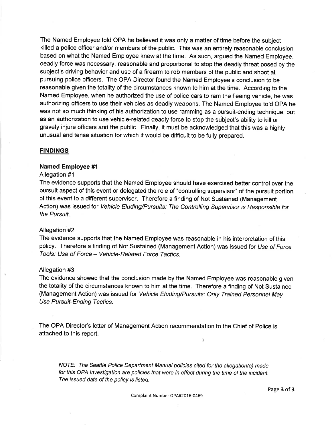The Named Employee told OPA he believed it was only a matter of time before the subject killed a police officer and/or members of the public. This was an entirely reasonable conclusion based on what the Named Employee knew at the time. As such, argued the Named Employee, deadly force was necessary, reasonable and proportional to stop the deadly threat posed by the subject's driving behavior and use of a firearm to rob members of the public and shoot at pursuing police officers. The OPA Ðirector found the Named Employee's conclusion to be reasonable given the totality of the circumstances known to him at the time. According to the Named Employee, when he authorized the use of police cars to ram the fleeing vehicle, he was authorizing officers to use their vehicles as deadly weapons. The Named Employee told OPA he was not so much thinking of his authorization to use ramming as a pursuit-ending technique, but as an authorization to use vehicle-related deadly force to stop the subject's ability to kill or gravely injure officers and the public. Finally, it must be acknowledged that this was a highly unusual and tense situation for which it would be difficult to be fully prepared.

#### **FINDINGS**

#### Named Employee #1

#### Allegation #1

The evidence supports that the Named Employee should have exercised better control over the pursuit aspect of this event or delegated the role of "controlling supervisor" of the pursuit portion of this event to a different supervisor. Therefore a finding of Not Sustained (Management Action) was issued for Vehicle Eluding/Pursuits: The Controlling Supervisor is Responsible for the Pursuit

#### Allegation #2

The evidence supports that the Named Employee was reasonable in his interpretation of this policy. Therefore a finding of Not Sustained (Management Action) was issued for Use of Force Tools: Use of Force - Vehicle-Related Force Tactics.

#### Allegation #3

The evidence showed that the conclusion made by the Named Employee was reasonable given the totality of the circumstances known to him at the time. Therefore a finding of Not Sustained (Management Action) was issued for Vehicle Eluding/Pursuits: Only Trained Personnel May Use Pursuit-Ending Tactics.

The OPA Director's letter of Management Action recommendation to the Chief of Police is attached to this report.

NOTE: The Seattle Police Department Manual policies cited for the allegation(s) made for this OPA lnvestigation are policies that were in effect during the time of the incident. The issued date of the policy is listed.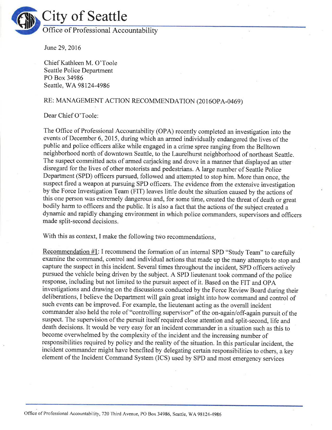

June29,2016

Chief Kathleen M. O'Toole Seattle Police Department PO Box 34986 Seattle, WA 98124-4986

# RE: MANAGEMENT ACTION RECOMMENDATION (2016OPA-0469)

Dear Chief O'Toole:

The Office of Professional Accountability (OPA) recently completed an investigation into the events of December 6,2015, during which an armed individually endangered the lives of the public and police officers alike while engaged in a crime spree ranging from the Belltown neighborhood north of downtown Seattle, to the Laurelhurst neighborhood of northeast Seattle. The suspect committed acts of armed carjacking and drove in a manner that displayed an utter disregard for the lives of other motorists and pedestrians. A large number of Seattle Police Department (SPD) officers pursued, followed and attempted to stop him. More than once, the suspect fired a weapon at pursuing SPD officers. The evidence from the extensive investigation by the Force Investigation Team (FIT) leaves little doubt the situation caused by the actions of this one person was extremely dangerous and, for some time, created the threat of death or great bodily harm to officers and the public. It is also a fact that the actions of the subject created a dynamic and rapidly changing environment in which police commanders, supervisors and officers made split-second decisions

With this as context, I make the following two recommendations.

Recommendation #1: I recommend the formation of an intemal SPD "Study Team" to carefully examine the command, control and individual actions that made up the many attempts to stop and capture the suspect in this incident. Several times throughout the incident, SPD officers actively pursued the vehicle being driven by the subject. A SPD lieutenant took command of the police response, including but not limited to the pursuit aspect of it. Based on the FIT and OPA investigations and drawing on the discussions conducted by the Force Review Board during their deliberations, I believe the Department will gain great insight into how command and control of such events can be improved. For example, the lieutenant acting as the overall incident commander also held the role of "controlling supervisor" of the on-again/off-again pursuit of the suspect. The supervision of the pursuit itself required close attention and split-second, life and death decisions. It would be very easy for an incident commander in a situation such as this to become overwhelmed by the complexity of the incident and the increasing number of responsibilities required by policy and the reality of the situation. In this particular incident, the incident commander might have benefited by delegating certain responsibilities to others, a key element of the Incident Command System (ICS) used by SPD and most emergency services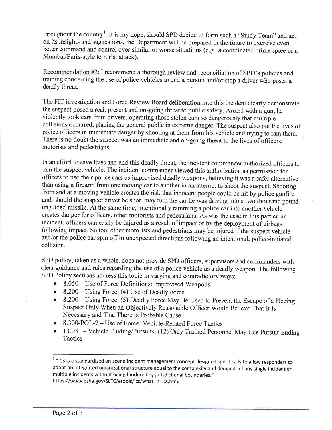throughout the country<sup>1</sup>. It is my hope, should SPD decide to form such a "Study Team" and act on its insights and suggestions, the Department will be prepared in the future to exercise even better command and control over similar or worse situations (e.g., a coordinated crime spree or <sup>a</sup> Mumbai/Paris-style terrorist attack).

Recommendation #2: I recommend a thorough review and reconciliation of SPD's policies and training concerning the use of police vehicles to end a pursuit and/or stop a driver who poses <sup>a</sup> deadly threat.

The FIT investigation and Force Review Board deliberation into this incident clearly demonstrate the suspect posed areal, present and on-going threat to public safety. Armed with a gun, he violently took cars from drivers, operating those stolen cars so dangerously that multiple collisions occurred, placing the general public in extreme danger. The suspect also put the lives of police officers in immediate danger by shooting at them from his vehicle and trying to ram them. There is no doubt the suspect was an immediate and on-going threat to the lives of officers, motorists and pedestrians.

In an effort to save lives and end this deadly threat, the incident commander authorized officers to ram the suspect vehicle. The incident commander viewed this authorization as permission for officers to use their police cars as improvised deadly weapons, believing it was a safer altemative than using a firearm from one moving car to another in an attempt to shoot the suspect. Shooting from and at a moving vehicle creates the risk that innocent people could be hit by police gunfire and, should the suspect driver be shot, may turn the car he was driving into a two thousand pound unguided missile. At the same time, intentionally ramming a police car into another vehicle creates danger for officers, other motorists and pedestrians. As was the case in this particular incident, officers can easily be injured as a result of impact or by the deployment of airbags following impact. So too, other motorists and pedestrians may be injured if the suspect vehicle and/or the police car spin off in unexpected directions following an intentional, police-initiated collision.

SPD policy, taken as a whole, does not provide SPD officers, supervisors and commanders with clear guidance and rules regarding the use of a police vehicle as a deadly weapon. The following sPD Policy sections address this topic in varying and contradictory ways:

- $8.050 -$  Use of Force Definitions: Improvised Weapons
- 8.200 Using Force: (4) Use of Deadly Force
- o 8.200 Using Force: (5) Deadly Force May Be Used to Prevent the Escape of a Fleeing Suspect Only When an Objectively Reasonable Officer Would Believe That It Is Necessary and That There is Probable Cause
- . 8.300-POL-7 Use of Force: Vehicle-Related Force Tactics<br>• 13.031 Vehicle Eluding/Pursuits: (12) Only Trained Person
- 13.031 Vehicle Eluding/Pursuits: (12) Only Trained Personnel May Use Pursuit-Ending **Tactics**

 $1$  "ICS is a standardized on-scene incident management concept designed specifically to allow responders to adopt an integrated organizational structure equal to the complexity and demands of any single incident or multiple incidents without being hindered by jurisdictional boundaries." https ://www.osha.gov/SLTC/etools/ics/what\_is\_ics. html